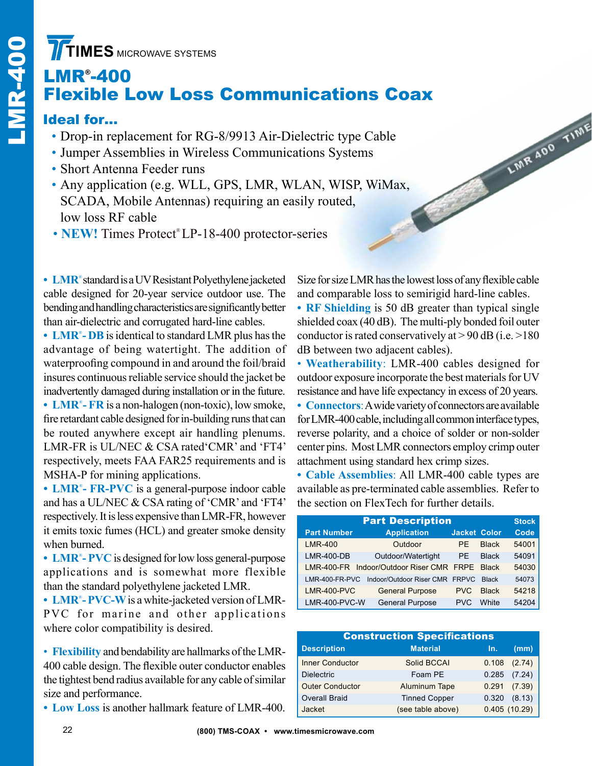**TIMES** MICROWAVE SYSTEMS

# LMR® -400 Flexible Low Loss Communications Coax

## Ideal for…

- Drop-in replacement for RG-8/9913 Air-Dielectric type Cable
- • Jumper Assemblies in Wireless Communications Systems
- Short Antenna Feeder runs
- • Any application (e.g. WLL, GPS, LMR, WLAN, WISP, WiMax, SCADA, Mobile Antennas) requiring an easily routed, low loss RF cable
- **NEW!** Times Protect<sup>®</sup> LP-18-400 protector-series

**• LMR**® standard is a UV Resistant Polyethylene jacketed cable designed for 20-year service outdoor use. The bending and handling characteristics are significantly better than air-dielectric and corrugated hard-line cables.

**• LMR**® **- DB**is identical to standard LMR plus has the advantage of being watertight. The addition of waterproofing compound in and around the foil/braid insures continuous reliable service should the jacket be inadvertently damaged during installation or in the future.

• LMR<sup>®</sup>- FR is a non-halogen (non-toxic), low smoke, fire retardant cable designed for in-building runs that can be routed anywhere except air handling plenums. LMR-FR is UL/NEC & CSA rated'CMR' and 'FT4' respectively, meets FAA FAR25 requirements and is MSHA-P for mining applications.

**• LMR**® **- FR-PVC** is a general-purpose indoor cable and has a UL/NEC & CSA rating of 'CMR' and 'FT4' respectively. It is less expensive than LMR-FR, however it emits toxic fumes (HCL) and greater smoke density when burned.

**• LMR**® **- PVC** is designed for low loss general-purpose applications and is somewhat more flexible than the standard polyethylene jacketed LMR.

**• LMR**® **- PVC-W**is a white-jacketed version of LMR-PVC for marine and other applications where color compatibility is desired.

• **Flexibility** and bendability are hallmarks of the LMR-400 cable design. The flexible outer conductor enables the tightest bend radius available for any cable of similar size and performance.

**• Low Loss** is another hallmark feature of LMR-400.

Size for size LMR has the lowest loss of any flexible cable and comparable loss to semirigid hard-line cables.

LMR 400 TIME

**• RF Shielding** is 50 dB greater than typical single shielded coax (40 dB). The multi-ply bonded foil outer conductor is rated conservatively at  $> 90$  dB (i.e.  $> 180$ ) dB between two adjacent cables).

• **Weatherability**: LMR-400 cables designed for outdoor exposure incorporate the best materials for UV resistance and have life expectancy in excess of 20 years.

**• Connectors**: A wide variety of connectors are available for LMR-400 cable, including all common interface types, reverse polarity, and a choice of solder or non-solder center pins. Most LMR connectors employ crimp outer attachment using standard hex crimp sizes.

**• Cable Assemblies**: All LMR-400 cable types are available as pre-terminated cable assemblies. Refer to the section on FlexTech for further details.

| <b>Part Description</b> |                                                |                     |              |       |  |  |  |
|-------------------------|------------------------------------------------|---------------------|--------------|-------|--|--|--|
| <b>Part Number</b>      | <b>Application</b>                             | <b>Jacket Color</b> |              | Code  |  |  |  |
| <b>LMR-400</b>          | Outdoor                                        | PF.                 | <b>Black</b> | 54001 |  |  |  |
| $LMR-400-DB$            | Outdoor/Watertight                             | PE.                 | <b>Black</b> | 54091 |  |  |  |
|                         | LMR-400-FR Indoor/Outdoor Riser CMR FRPE Black |                     |              | 54030 |  |  |  |
| LMR-400-FR-PVC          | Indoor/Outdoor Riser CMR FRPVC                 |                     | <b>Black</b> | 54073 |  |  |  |
| <b>LMR-400-PVC</b>      | <b>General Purpose</b>                         | PVC.                | <b>Black</b> | 54218 |  |  |  |
| LMR-400-PVC-W           | <b>General Purpose</b>                         | <b>PVC</b>          | White        | 54204 |  |  |  |

| <b>Construction Specifications</b> |                      |              |        |  |  |  |  |
|------------------------------------|----------------------|--------------|--------|--|--|--|--|
| <b>Description</b>                 | <b>Material</b>      | In.          | (mm)   |  |  |  |  |
| <b>Inner Conductor</b>             | Solid BCCAI          | 0.108        | (2.74) |  |  |  |  |
| <b>Dielectric</b>                  | Foam PE              | 0.285        | (7.24) |  |  |  |  |
| <b>Outer Conductor</b>             | Aluminum Tape        | 0.291        | (7.39) |  |  |  |  |
| <b>Overall Braid</b>               | <b>Tinned Copper</b> | 0.320        | (8.13) |  |  |  |  |
| Jacket                             | (see table above)    | 0.405(10.29) |        |  |  |  |  |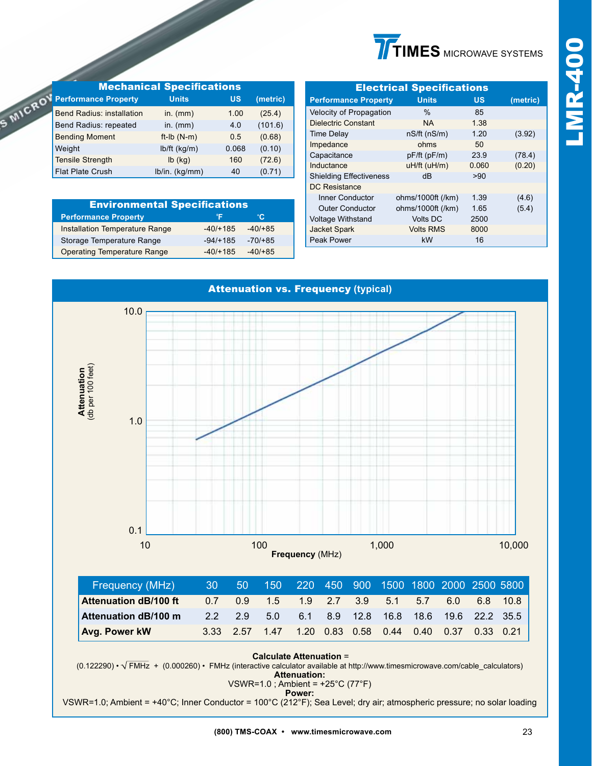

|                                   |                                  | <b>Mechanical Specifications</b> |           |          |  |
|-----------------------------------|----------------------------------|----------------------------------|-----------|----------|--|
|                                   | <b>Performance Property</b>      | <b>Units</b>                     | <b>US</b> | (metric) |  |
| $\sigma$ <sub>M<sub>1</sub></sub> | <b>Bend Radius: installation</b> | in. $(mm)$                       | 1.00      | (25.4)   |  |
|                                   | Bend Radius: repeated            | in. $(mm)$                       | 4.0       | (101.6)  |  |
|                                   | <b>Bending Moment</b>            | $ft-lb(N-m)$                     | 0.5       | (0.68)   |  |
|                                   | Weight                           | $lb/ft$ (kg/m)                   | 0.068     | (0.10)   |  |
|                                   | <b>Tensile Strength</b>          | $lb$ (kg)                        | 160       | (72.6)   |  |
|                                   | <b>Flat Plate Crush</b>          | lb/in. (kg/mm)                   | 40        | (0.71)   |  |

| <b>Environmental Specifications</b>   |            |           |  |  |  |  |
|---------------------------------------|------------|-----------|--|--|--|--|
| <b>Performance Property</b>           | °F         | °C        |  |  |  |  |
| <b>Installation Temperature Range</b> | $-40/+185$ | $-40/+85$ |  |  |  |  |
| Storage Temperature Range             | $-94/+185$ | $-70/+85$ |  |  |  |  |
| <b>Operating Temperature Range</b>    | $-40/+185$ | $-40/+85$ |  |  |  |  |

| <b>Electrical Specifications</b> |                    |       |          |  |  |  |  |
|----------------------------------|--------------------|-------|----------|--|--|--|--|
| <b>Performance Property</b>      | <b>Units</b>       | US    | (metric) |  |  |  |  |
| Velocity of Propagation          | ℅                  | 85    |          |  |  |  |  |
| Dielectric Constant              | NA.                | 1.38  |          |  |  |  |  |
| <b>Time Delay</b>                | nS/ft(nS/m)        | 1.20  | (3.92)   |  |  |  |  |
| Impedance                        | ohms               | 50    |          |  |  |  |  |
| Capacitance                      | $pF/ft$ ( $pF/m$ ) | 23.9  | (78.4)   |  |  |  |  |
| Inductance                       | uH/ft (uH/m)       | 0.060 | (0.20)   |  |  |  |  |
| <b>Shielding Effectiveness</b>   | dB                 | >90   |          |  |  |  |  |
| DC Resistance                    |                    |       |          |  |  |  |  |
| Inner Conductor                  | ohms/1000ft (/km)  | 1.39  | (4.6)    |  |  |  |  |
| <b>Outer Conductor</b>           | ohms/1000ft (/km)  | 1.65  | (5.4)    |  |  |  |  |
| <b>Voltage Withstand</b>         | Volts DC           | 2500  |          |  |  |  |  |
| <b>Jacket Spark</b>              | <b>Volts RMS</b>   | 8000  |          |  |  |  |  |
| Peak Power                       | kW                 | 16    |          |  |  |  |  |

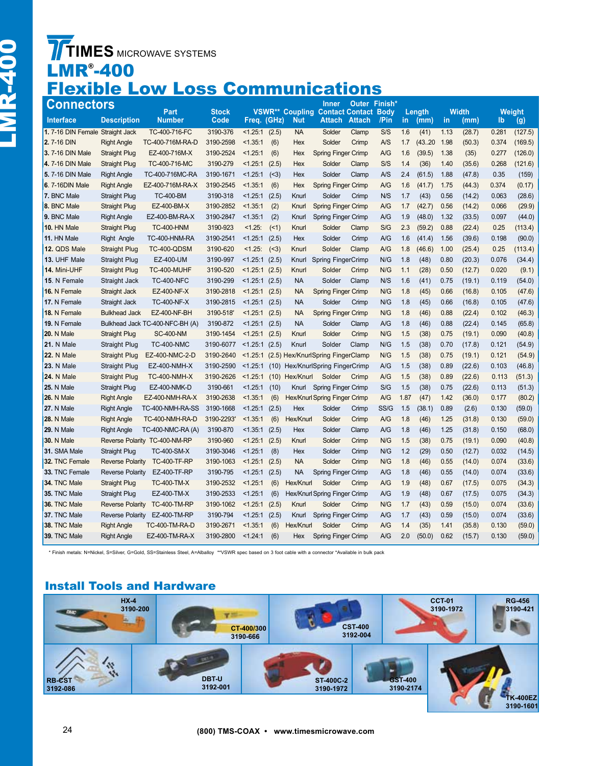# **TIMES** MICROWAVE SYSTEMS LMR® -400 Flexible Low Loss Communications

| <b>Connectors</b>                |                         | Part                            | <b>Stock</b> |             |       | <b>VSWR** Coupling</b> | <b>Inner</b><br><b>Contact Contact Body</b> | <b>Outer</b>  | Finish* |      | Length |      | <b>Width</b> |       | Weight  |
|----------------------------------|-------------------------|---------------------------------|--------------|-------------|-------|------------------------|---------------------------------------------|---------------|---------|------|--------|------|--------------|-------|---------|
| Interface                        | <b>Description</b>      | <b>Number</b>                   | Code         | Freq. (GHz) |       | <b>Nut</b>             | <b>Attach</b>                               | <b>Attach</b> | /Pin    | in.  | (mm)   | in,  | (mm)         | lb    | (g)     |
| 1. 7-16 DIN Female Straight Jack |                         | TC-400-716-FC                   | 3190-376     | < 1.25:1    | (2.5) | <b>NA</b>              | Solder                                      | Clamp         | S/S     | 1.6  | (41)   | 1.13 | (28.7)       | 0.281 | (127.5) |
| 2.7-16 DIN                       | <b>Right Angle</b>      | TC-400-716M-RA-D                | 3190-2598    | < 1.35:1    | (6)   | Hex                    | Solder                                      | Crimp         | A/S     | 1.7  | (4320) | 1.98 | (50.3)       | 0.374 | (169.5) |
| 3.7-16 DIN Male                  | Straight Plug           | EZ-400-716M-X                   | 3190-2524    | < 1.25:1    | (6)   | Hex                    | Spring Finger Crimp                         |               | A/G     | 1.6  | (39.5) | 1.38 | (35)         | 0.277 | (126.0) |
| 4.7-16 DIN Male                  | Straight Plug           | TC-400-716-MC                   | 3190-279     | < 1.25:1    | (2.5) | <b>Hex</b>             | Solder                                      | Clamp         | S/S     | 1.4  | (36)   | 1.40 | (35.6)       | 0.268 | (121.6) |
| 5.7-16 DIN Male                  | <b>Right Angle</b>      | TC-400-716MC-RA                 | 3190-1671    | < 1.25:1    | (<3)  | Hex                    | Solder                                      | Clamp         | A/S     | 2.4  | (61.5) | 1.88 | (47.8)       | 0.35  | (159)   |
| <b>6. 7-16DIN Male</b>           | <b>Right Angle</b>      | EZ-400-716M-RA-X                | 3190-2545    | < 1.35:1    | (6)   | Hex                    | <b>Spring Finger Crimp</b>                  |               | A/G     | 1.6  | (41.7) | 1.75 | (44.3)       | 0.374 | (0.17)  |
| 7. BNC Male                      | Straight Plug           | <b>TC-400-BM</b>                | 3190-318     | < 1.25:1    | (2.5) | Knurl                  | Solder                                      | Crimp         | N/S     | 1.7  | (43)   | 0.56 | (14.2)       | 0.063 | (28.6)  |
| 8. BNC Male                      | Straight Plug           | EZ-400-BM-X                     | 3190-2852    | < 1.35:1    | (2)   | Knurl                  | <b>Spring Finger Crimp</b>                  |               | A/G     | 1.7  | (42.7) | 0.56 | (14.2)       | 0.066 | (29.9)  |
| 9. BNC Male                      | <b>Right Angle</b>      | EZ-400-BM-RA-X                  | 3190-2847    | < 1.35:1    | (2)   | Knurl                  | Spring Finger Crimp                         |               | A/G     | 1.9  | (48.0) | 1.32 | (33.5)       | 0.097 | (44.0)  |
| 10. HN Male                      | Straight Plug           | <b>TC-400-HNM</b>               | 3190-923     | $< 1.25$ :  | (<1)  | Knurl                  | Solder                                      | Clamp         | S/G     | 2.3  | (59.2) | 0.88 | (22.4)       | 0.25  | (113.4) |
| 11. HN Male                      | Right Angle             | TC-400-HNM-RA                   | 3190-2541    | < 1.25:1    | (2.5) | Hex                    | Solder                                      | Crimp         | A/G     | 1.6  | (41.4) | 1.56 | (39.6)       | 0.198 | (90.0)  |
| 12. QDS Male                     | <b>Straight Plug</b>    | TC-400-QDSM                     | 3190-620     | $< 1.25$ :  | (<3)  | Knurl                  | Solder                                      | Clamp         | A/G     | 1.8  | (46.6) | 1.00 | (25.4)       | 0.25  | (113.4) |
| 13. UHF Male                     | Straight Plug           | EZ-400-UM                       | 3190-997     | < 1.25:1    | (2.5) | Knurl                  | <b>Spring FingerCrimp</b>                   |               | N/G     | 1.8  | (48)   | 0.80 | (20.3)       | 0.076 | (34.4)  |
| 14. Mini-UHF                     | Straight Plug           | TC-400-MUHF                     | 3190-520     | < 1.25:1    | (2.5) | Knurl                  | Solder                                      | Crimp         | N/G     | 1.1  | (28)   | 0.50 | (12.7)       | 0.020 | (9.1)   |
| 15. N Female                     | Straight Jack           | <b>TC-400-NFC</b>               | 3190-299     | < 1.25:1    | (2.5) | <b>NA</b>              | Solder                                      | Clamp         | N/S     | 1.6  | (41)   | 0.75 | (19.1)       | 0.119 | (54.0)  |
| 16. N Female                     | Straight Jack           | <b>EZ-400-NF-X</b>              | 3190-2818    | < 1.25:1    | (2.5) | <b>NA</b>              | <b>Spring Finger Crimp</b>                  |               | N/G     | 1.8  | (45)   | 0.66 | (16.8)       | 0.105 | (47.6)  |
| 17. N Female                     | Straight Jack           | <b>TC-400-NF-X</b>              | 3190-2815    | < 1.25:1    | (2.5) | <b>NA</b>              | Solder                                      | Crimp         | N/G     | 1.8  | (45)   | 0.66 | (16.8)       | 0.105 | (47.6)  |
| 18. N Female                     | <b>Bulkhead Jack</b>    | <b>EZ-400-NF-BH</b>             | 3190-518*    | < 1.25:1    | (2.5) | <b>NA</b>              | <b>Spring Finger Crimp</b>                  |               | N/G     | 1.8  | (46)   | 0.88 | (22.4)       | 0.102 | (46.3)  |
| 19. N Female                     |                         | Bulkhead Jack TC-400-NFC-BH (A) | 3190-872     | < 1.25:1    | (2.5) | <b>NA</b>              | Solder                                      | Clamp         | A/G     | 1.8  | (46)   | 0.88 | (22.4)       | 0.145 | (65.8)  |
| 20. N Male                       | Straight Plug           | <b>SC-400-NM</b>                | 3190-1454    | < 1.25:1    | (2.5) | Knurl                  | Solder                                      | Crimp         | N/G     | 1.5  | (38)   | 0.75 | (19.1)       | 0.090 | (40.8)  |
| <b>21. N Male</b>                | <b>Straight Plug</b>    | <b>TC-400-NMC</b>               | 3190-6077    | < 1.25:1    | (2.5) | Knurl                  | Solder                                      | Clamp         | N/G     | 1.5  | (38)   | 0.70 | (17.8)       | 0.121 | (54.9)  |
| <b>22. N Male</b>                | <b>Straight Plug</b>    | EZ-400-NMC-2-D                  | 3190-2640    | < 1.25:1    |       |                        | (2.5) Hex/KnurlSpring FingerClamp           |               | N/G     | 1.5  | (38)   | 0.75 | (19.1)       | 0.121 | (54.9)  |
| <b>23. N Male</b>                | Straight Plug           | <b>EZ-400-NMH-X</b>             | 3190-2590    | < 1.25:1    | (10)  |                        | Hex/KnurlSpring FingerCrimp                 |               | A/G     | 1.5  | (38)   | 0.89 | (22.6)       | 0.103 | (46.8)  |
| <b>24. N Male</b>                | <b>Straight Plug</b>    | <b>TC-400-NMH-X</b>             | 3190-2626    | < 1.25:1    |       | (10) Hex/Knurl         | Solder                                      | Crimp         | A/G     | 1.5  | (38)   | 0.89 | (22.6)       | 0.113 | (51.3)  |
| <b>25. N Male</b>                | Straight Plug           | <b>EZ-400-NMK-D</b>             | 3190-661     | < 1.25:1    | (10)  | Knurl                  | <b>Spring Finger Crimp</b>                  |               | S/G     | 1.5  | (38)   | 0.75 | (22.6)       | 0.113 | (51.3)  |
| <b>26.</b> N Male                | <b>Right Angle</b>      | EZ-400-NMH-RA-X                 | 3190-2638    | < 1.35:1    | (6)   |                        | Hex/Knurl Spring Finger Crimp               |               | A/G     | 1.87 | (47)   | 1.42 | (36.0)       | 0.177 | (80.2)  |
| 27. N Male                       | <b>Right Angle</b>      | TC-400-NMH-RA-SS                | 3190-1668    | < 1.25:1    | (2.5) | Hex                    | Solder                                      | Crimp         | SS/G    | 1.5  | (38.1) | 0.89 | (2.6)        | 0.130 | (59.0)  |
| 28. N Male                       | <b>Right Angle</b>      | TC-400-NMH-RA-D                 | 3190-2293*   | < 1.35:1    | (6)   | Hex/Knurl              | Solder                                      | Crimp         | A/G     | 1.8  | (46)   | 1.25 | (31.8)       | 0.130 | (59.0)  |
| <b>29. N Male</b>                | <b>Right Angle</b>      | TC-400-NMC-RA (A)               | 3190-870     | < 1.35:1    | (2.5) | <b>Hex</b>             | Solder                                      | Clamp         | A/G     | 1.8  | (46)   | 1.25 | (31.8)       | 0.150 | (68.0)  |
| <b>30. N Male</b>                |                         | Reverse Polarity TC-400-NM-RP   | 3190-960     | < 1.25:1    | (2.5) | Knurl                  | Solder                                      | Crimp         | N/G     | 1.5  | (38)   | 0.75 | (19.1)       | 0.090 | (40.8)  |
| 31. SMA Male                     | <b>Straight Plug</b>    | <b>TC-400-SM-X</b>              | 3190-3046    | < 1.25:1    | (8)   | Hex                    | Solder                                      | Crimp         | N/G     | 1.2  | (29)   | 0.50 | (12.7)       | 0.032 | (14.5)  |
| 32. TNC Female                   | <b>Reverse Polarity</b> | <b>TC-400-TF-RP</b>             | 3190-1063    | < 1.25:1    | (2.5) | <b>NA</b>              | Solder                                      | Crimp         | N/G     | 1.8  | (46)   | 0.55 | (14.0)       | 0.074 | (33.6)  |
| 33. TNC Female                   | <b>Reverse Polarity</b> | <b>EZ-400-TF-RP</b>             | 3190-795     | < 1.25:1    | (2.5) | <b>NA</b>              | <b>Spring Finger Crimp</b>                  |               | A/G     | 1.8  | (46)   | 0.55 | (14.0)       | 0.074 | (33.6)  |
| 34. TNC Male                     | Straight Plug           | <b>TC-400-TM-X</b>              | 3190-2532    | < 1.25:1    | (6)   | Hex/Knurl              | Solder                                      | Crimp         | A/G     | 1.9  | (48)   | 0.67 | (17.5)       | 0.075 | (34.3)  |
| 35. TNC Male                     | Straight Plug           | EZ-400-TM-X                     | 3190-2533    | < 1.25:1    | (6)   |                        | Hex/Knurl Spring Finger Crimp               |               | A/G     | 1.9  | (48)   | 0.67 | (17.5)       | 0.075 | (34.3)  |
| 36. TNC Male                     | <b>Reverse Polarity</b> | <b>TC-400-TM-RP</b>             | 3190-1062    | < 1.25:1    | (2.5) | Knurl                  | Solder                                      | Crimp         | N/G     | 1.7  | (43)   | 0.59 | (15.0)       | 0.074 | (33.6)  |
| 37. TNC Male                     | <b>Reverse Polarity</b> | <b>EZ-400-TM-RP</b>             | 3190-794     | < 1.25:1    | (2.5) | Knurl                  | <b>Spring Finger Crimp</b>                  |               | A/G     | 1.7  | (43)   | 0.59 | (15.0)       | 0.074 | (33.6)  |
| 38. TNC Male                     | <b>Right Angle</b>      | <b>TC-400-TM-RA-D</b>           | 3190-2671    | < 1.35:1    | (6)   | Hex/Knurl              | Solder                                      | Crimp         | A/G     | 1.4  | (35)   | 1.41 | (35.8)       | 0.130 | (59.0)  |
| 39. TNC Male                     | <b>Right Angle</b>      | EZ-400-TM-RA-X                  | 3190-2800    | < 1.24:1    | (6)   | Hex                    | <b>Spring Finger Crimp</b>                  |               | A/G     | 2.0  | (50.0) | 0.62 | (15.7)       | 0.130 | (59.0)  |

\* Finish metals: N=Nickel, S=Silver, G=Gold, SS=Stainless Steel, A=Alballoy \*\*VSWR spec based on 3 foot cable with a connector \*Available in bulk pack

#### Install Tools and Hardware